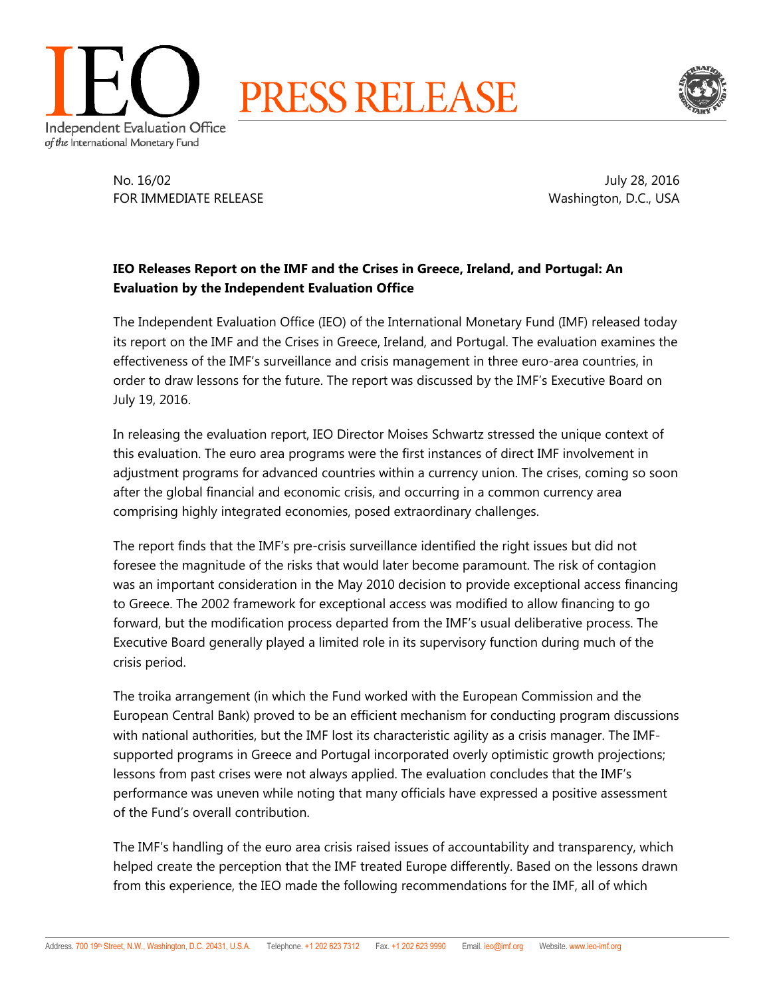



No. 16/02 July 28, 2016 FOR IMMEDIATE RELEASE Washington, D.C., USA

## **IEO Releases Report on the IMF and the Crises in Greece, Ireland, and Portugal: An Evaluation by the Independent Evaluation Office**

The Independent Evaluation Office (IEO) of the International Monetary Fund (IMF) released today its report on the IMF and the Crises in Greece, Ireland, and Portugal. The evaluation examines the effectiveness of the IMF's surveillance and crisis management in three euro-area countries, in order to draw lessons for the future. The report was discussed by the IMF's Executive Board on July 19, 2016.

In releasing the evaluation report, IEO Director Moises Schwartz stressed the unique context of this evaluation. The euro area programs were the first instances of direct IMF involvement in adjustment programs for advanced countries within a currency union. The crises, coming so soon after the global financial and economic crisis, and occurring in a common currency area comprising highly integrated economies, posed extraordinary challenges.

The report finds that the IMF's pre-crisis surveillance identified the right issues but did not foresee the magnitude of the risks that would later become paramount. The risk of contagion was an important consideration in the May 2010 decision to provide exceptional access financing to Greece. The 2002 framework for exceptional access was modified to allow financing to go forward, but the modification process departed from the IMF's usual deliberative process. The Executive Board generally played a limited role in its supervisory function during much of the crisis period.

The troika arrangement (in which the Fund worked with the European Commission and the European Central Bank) proved to be an efficient mechanism for conducting program discussions with national authorities, but the IMF lost its characteristic agility as a crisis manager. The IMFsupported programs in Greece and Portugal incorporated overly optimistic growth projections; lessons from past crises were not always applied. The evaluation concludes that the IMF's performance was uneven while noting that many officials have expressed a positive assessment of the Fund's overall contribution.

The IMF's handling of the euro area crisis raised issues of accountability and transparency, which helped create the perception that the IMF treated Europe differently. Based on the lessons drawn from this experience, the IEO made the following recommendations for the IMF, all of which